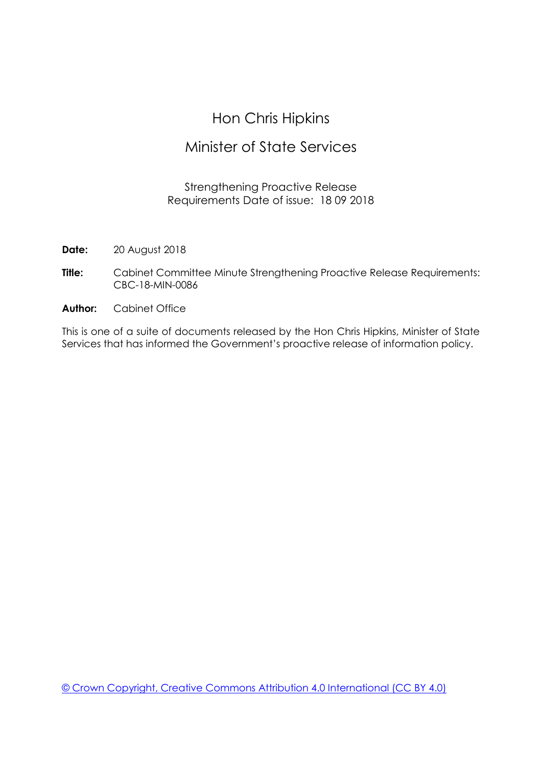## Hon Chris Hipkins

### Minister of State Services

#### Strengthening Proactive Release Requirements Date of issue: 18 09 2018

**Date:** 20 August 2018

- **Title:** Cabinet Committee Minute Strengthening Proactive Release Requirements: CBC-18-MIN-0086
- **Author:** Cabinet Office

This is one of a suite of documents released by the Hon Chris Hipkins, Minister of State Services that has informed the Government's proactive release of information policy.

[© Crown Copyright, Creative Commons Attribution 4.0 International \(CC BY 4.0\)](https://creativecommons.org/licenses/by/4.0/)